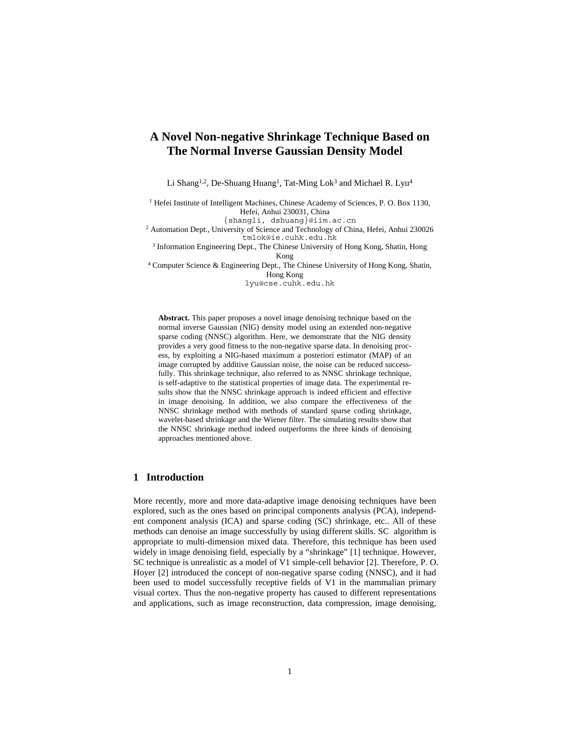# **A Novel Non-negative Shrinkage Technique Based on The Normal Inverse Gaussian Density Model**

Li Shang<sup>1,2</sup>, De-Shuang Huang<sup>1</sup>, Tat-Ming Lok<sup>3</sup> and Michael R. Lyu<sup>4</sup>

<sup>1</sup> Hefei Institute of Intelligent Machines, Chinese Academy of Sciences, P. O. Box 1130, Hefei, Anhui 230031, China

{shangli, dshuang}@iim.ac.cn

<sup>2</sup> Automation Dept., University of Science and Technology of China, Hefei, Anhui 230026 tmlok@ie.cuhk.edu.hk

<sup>3</sup> Information Engineering Dept., The Chinese University of Hong Kong, Shatin, Hong Kong<br><sup>4</sup> Computer Science & Engineering Dept., The Chinese University of Hong Kong, Shatin,

Hong Kong

lyu@cse.cuhk.edu.hk

**Abstract.** This paper proposes a novel image denoising technique based on the normal inverse Gaussian (NIG) density model using an extended non-negative sparse coding (NNSC) algorithm. Here, we demonstrate that the NIG density provides a very good fitness to the non-negative sparse data. In denoising process, by exploiting a NIG-based maximum a posteriori estimator (MAP) of an image corrupted by additive Gaussian noise, the noise can be reduced successfully. This shrinkage technique, also referred to as NNSC shrinkage technique, is self-adaptive to the statistical properties of image data. The experimental results show that the NNSC shrinkage approach is indeed efficient and effective in image denoising. In addition, we also compare the effectiveness of the NNSC shrinkage method with methods of standard sparse coding shrinkage, wavelet-based shrinkage and the Wiener filter. The simulating results show that the NNSC shrinkage method indeed outperforms the three kinds of denoising approaches mentioned above.

# **1 Introduction**

More recently, more and more data-adaptive image denoising techniques have been explored, such as the ones based on principal components analysis (PCA), independent component analysis (ICA) and sparse coding (SC) shrinkage, etc.. All of these methods can denoise an image successfully by using different skills. SC algorithm is appropriate to multi-dimension mixed data. Therefore, this technique has been used widely in image denoising field, especially by a "shrinkage" [1] technique. However, SC technique is unrealistic as a model of V1 simple-cell behavior [2]. Therefore, P. O. Hoyer [2] introduced the concept of non-negative sparse coding (NNSC), and it had been used to model successfully receptive fields of V1 in the mammalian primary visual cortex. Thus the non-negative property has caused to different representations and applications, such as image reconstruction, data compression, image denoising,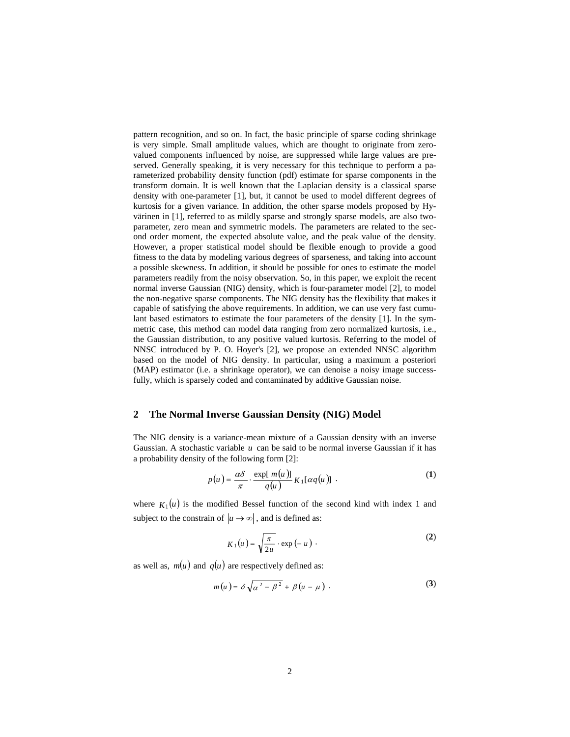pattern recognition, and so on. In fact, the basic principle of sparse coding shrinkage is very simple. Small amplitude values, which are thought to originate from zerovalued components influenced by noise, are suppressed while large values are preserved. Generally speaking, it is very necessary for this technique to perform a parameterized probability density function (pdf) estimate for sparse components in the transform domain. It is well known that the Laplacian density is a classical sparse density with one-parameter [1], but, it cannot be used to model different degrees of kurtosis for a given variance. In addition, the other sparse models proposed by Hyvärinen in [1], referred to as mildly sparse and strongly sparse models, are also twoparameter, zero mean and symmetric models. The parameters are related to the second order moment, the expected absolute value, and the peak value of the density. However, a proper statistical model should be flexible enough to provide a good fitness to the data by modeling various degrees of sparseness, and taking into account a possible skewness. In addition, it should be possible for ones to estimate the model parameters readily from the noisy observation. So, in this paper, we exploit the recent normal inverse Gaussian (NIG) density, which is four-parameter model [2], to model the non-negative sparse components. The NIG density has the flexibility that makes it capable of satisfying the above requirements. In addition, we can use very fast cumulant based estimators to estimate the four parameters of the density [1]. In the symmetric case, this method can model data ranging from zero normalized kurtosis, i.e., the Gaussian distribution, to any positive valued kurtosis. Referring to the model of NNSC introduced by P. O. Hoyer's [2], we propose an extended NNSC algorithm based on the model of NIG density. In particular, using a maximum a posteriori (MAP) estimator (i.e. a shrinkage operator), we can denoise a noisy image successfully, which is sparsely coded and contaminated by additive Gaussian noise.

# **2 The Normal Inverse Gaussian Density (NIG) Model**

The NIG density is a variance-mean mixture of a Gaussian density with an inverse Gaussian. A stochastic variable *u* can be said to be normal inverse Gaussian if it has a probability density of the following form [2]:

$$
p(u) = \frac{\alpha \delta}{\pi} \cdot \frac{\exp[m(u)]}{q(u)} K_1[\alpha q(u)] \tag{1}
$$

where  $K_1(u)$  is the modified Bessel function of the second kind with index 1 and subject to the constrain of  $|u \rightarrow \infty|$ , and is defined as:

$$
K_1(u) = \sqrt{\frac{\pi}{2u}} \cdot \exp(-u) \tag{2}
$$

as well as,  $m(u)$  and  $q(u)$  are respectively defined as:

$$
m(u) = \delta \sqrt{\alpha^2 - \beta^2} + \beta(u - \mu) . \tag{3}
$$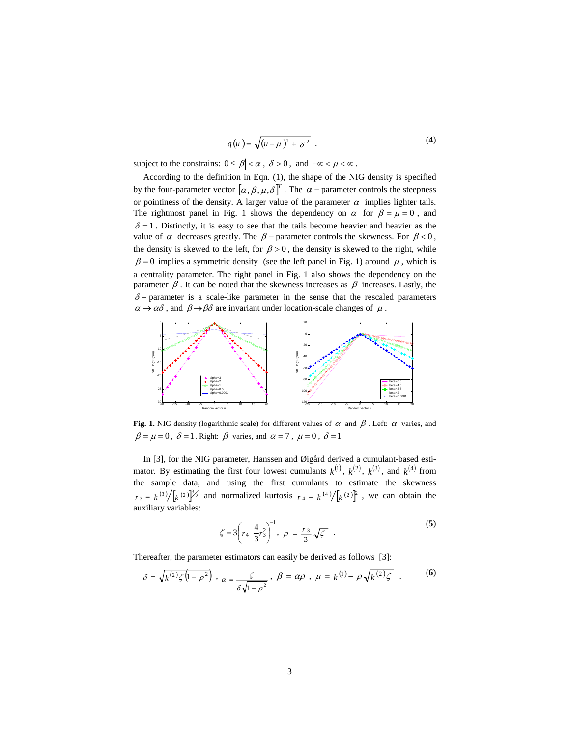$$
q(u) = \sqrt{(u-\mu)^2 + \delta^2} \tag{4}
$$

subject to the constrains:  $0 \le |\beta| < \alpha$ ,  $\delta > 0$ , and  $-\infty < \mu < \infty$ .

According to the definition in Eqn. (1), the shape of the NIG density is specified by the four-parameter vector  $[\alpha, \beta, \mu, \delta]^T$ . The  $\alpha$  – parameter controls the steepness or pointiness of the density. A larger value of the parameter  $\alpha$  implies lighter tails. The rightmost panel in Fig. 1 shows the dependency on  $\alpha$  for  $\beta = \mu = 0$ , and  $\delta = 1$ . Distinctly, it is easy to see that the tails become heavier and heavier as the value of  $\alpha$  decreases greatly. The  $\beta$  – parameter controls the skewness. For  $\beta$  < 0, the density is skewed to the left, for  $\beta > 0$ , the density is skewed to the right, while  $\beta = 0$  implies a symmetric density (see the left panel in Fig. 1) around  $\mu$ , which is a centrality parameter. The right panel in Fig. 1 also shows the dependency on the parameter  $\beta$ . It can be noted that the skewness increases as  $\beta$  increases. Lastly, the  $\delta$  – parameter is a scale-like parameter in the sense that the rescaled parameters  $\alpha \rightarrow \alpha \delta$ , and  $\beta \rightarrow \beta \delta$  are invariant under location-scale changes of  $\mu$ .



**Fig. 1.** NIG density (logarithmic scale) for different values of  $\alpha$  and  $\beta$ . Left:  $\alpha$  varies, and  $\beta = \mu = 0$ ,  $\delta = 1$ . Right:  $\beta$  varies, and  $\alpha = 7$ ,  $\mu = 0$ ,  $\delta = 1$ 

In [3], for the NIG parameter, Hanssen and Øigård derived a cumulant-based estimator. By estimating the first four lowest cumulants  $k^{(1)}$ ,  $k^{(2)}$ ,  $k^{(3)}$ , and  $k^{(4)}$  from the sample data, and using the first cumulants to estimate the skewness  $r_3 = k^{(3)} / \left[ k^{(2)} \right]^3$  and normalized kurtosis  $r_4 = k^{(4)} / \left[ k^{(2)} \right]^2$ , we can obtain the auxiliary variables:

$$
\zeta = 3 \left( r_4 \frac{4}{3} r_3^2 \right)^{-1}, \ \rho = \frac{r_3}{3} \sqrt{\zeta} \quad . \tag{5}
$$

Thereafter, the parameter estimators can easily be derived as follows [3]:

$$
\delta = \sqrt{k^{(2)}\zeta(1-\rho^2)} \; , \; \alpha = \frac{\zeta}{\delta\sqrt{1-\rho^2}} \; , \; \beta = \alpha\rho \; , \; \mu = k^{(1)} - \rho\sqrt{k^{(2)}\zeta} \; . \tag{6}
$$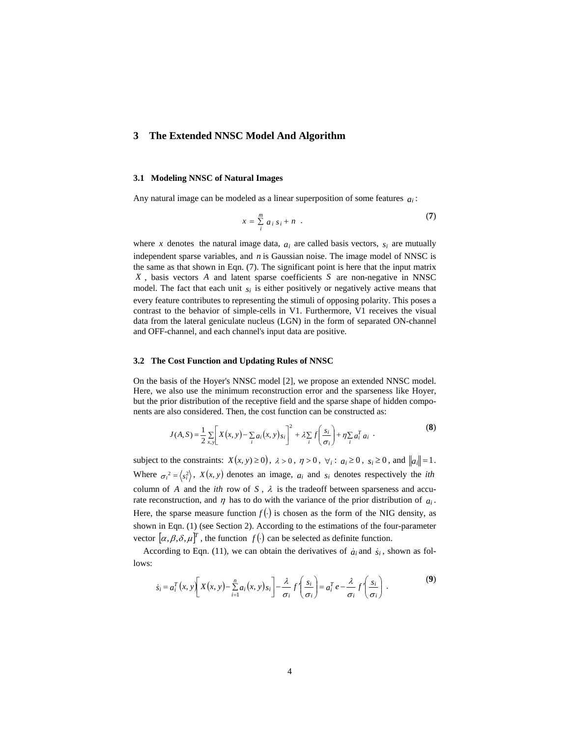## **3 The Extended NNSC Model And Algorithm**

### **3.1 Modeling NNSC of Natural Images**

Any natural image can be modeled as a linear superposition of some features *ai* :

$$
x = \sum_{i=1}^{m} a_i s_i + n \quad . \tag{7}
$$

where *x* denotes the natural image data,  $a_i$  are called basis vectors,  $s_i$  are mutually independent sparse variables, and *n* is Gaussian noise. The image model of NNSC is the same as that shown in Eqn. (7). The significant point is here that the input matrix *X* , basis vectors *A* and latent sparse coefficients *S* are non-negative in NNSC model. The fact that each unit  $s_i$  is either positively or negatively active means that every feature contributes to representing the stimuli of opposing polarity. This poses a contrast to the behavior of simple-cells in V1. Furthermore, V1 receives the visual data from the lateral geniculate nucleus (LGN) in the form of separated ON-channel and OFF-channel, and each channel's input data are positive.

#### **3.2 The Cost Function and Updating Rules of NNSC**

On the basis of the Hoyer's NNSC model [2], we propose an extended NNSC model. Here, we also use the minimum reconstruction error and the sparseness like Hoyer, but the prior distribution of the receptive field and the sparse shape of hidden components are also considered. Then, the cost function can be constructed as:

$$
J(A, S) = \frac{1}{2} \sum_{x,y} \left[ X(x, y) - \sum_{i} a_i(x, y) s_i \right]^2 + \lambda \sum_{i} f\left(\frac{s_i}{\sigma_i}\right) + \eta \sum_{i} a_i^T a_i \tag{8}
$$

subject to the constraints:  $X(x, y) \ge 0$ ,  $\lambda > 0$ ,  $\eta > 0$ ,  $\forall i : a_i \ge 0$ ,  $s_i \ge 0$ , and  $||a_i|| = 1$ . Where  $\sigma_i^2 = \langle s_i^2 \rangle$ ,  $X(x, y)$  denotes an image,  $a_i$  and  $s_i$  denotes respectively the *ith* column of *A* and the *ith* row of *S*,  $\lambda$  is the tradeoff between sparseness and accurate reconstruction, and  $\eta$  has to do with the variance of the prior distribution of  $a_i$ . Here, the sparse measure function  $f(.)$  is chosen as the form of the NIG density, as shown in Eqn. (1) (see Section 2). According to the estimations of the four-parameter vector  $[\alpha, \beta, \delta, \mu]^T$ , the function  $f(\cdot)$  can be selected as definite function.

According to Eqn. (11), we can obtain the derivatives of  $\dot{a}_i$  and  $\dot{s}_i$ , shown as follows:

$$
\dot{s}_i = a_i^T(x, y) \left[ X(x, y) - \sum_{i=1}^n a_i(x, y) s_i \right] - \frac{\lambda}{\sigma_i} f' \left( \frac{s_i}{\sigma_i} \right) = a_i^T e - \frac{\lambda}{\sigma_i} f' \left( \frac{s_i}{\sigma_i} \right) .
$$
 (9)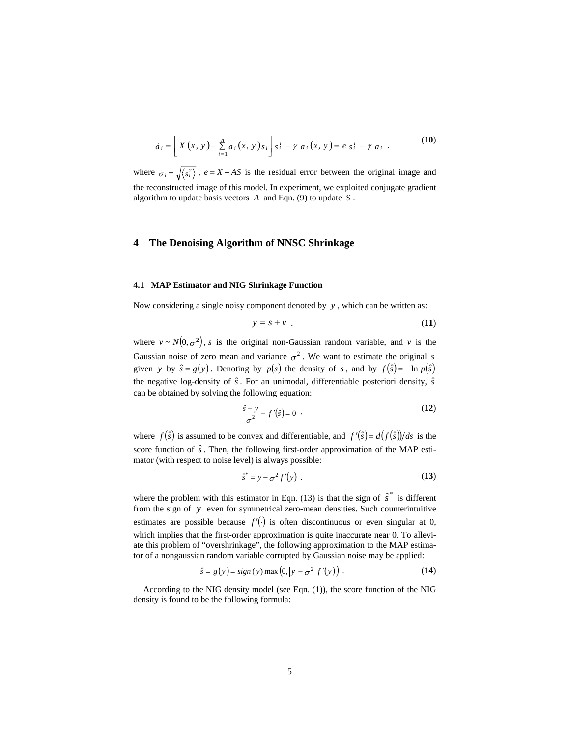$$
\dot{a}_i = \left[ X(x, y) - \sum_{i=1}^n a_i (x, y) s_i \right] s_i^T - \gamma a_i (x, y) = e s_i^T - \gamma a_i . \tag{10}
$$

where  $\sigma_i = \sqrt{\langle s_i^2 \rangle}$ ,  $e = X - AS$  is the residual error between the original image and the reconstructed image of this model. In experiment, we exploited conjugate gradient algorithm to update basis vectors *A* and Eqn. (9) to update *S* .

### **4 The Denoising Algorithm of NNSC Shrinkage**

#### **4.1 MAP Estimator and NIG Shrinkage Function**

Now considering a single noisy component denoted by *y* , which can be written as:

$$
y = s + v \tag{11}
$$

where  $v \sim N(0, \sigma^2)$ , *s* is the original non-Gaussian random variable, and *v* is the Gaussian noise of zero mean and variance  $\sigma^2$ . We want to estimate the original *s* given *y* by  $\hat{s} = g(y)$ . Denoting by  $p(s)$  the density of *s*, and by  $f(\hat{s}) = -\ln p(\hat{s})$ the negative log-density of  $\hat{s}$ . For an unimodal, differentiable posteriori density,  $\hat{s}$ can be obtained by solving the following equation:

$$
\frac{\hat{s} - y}{\sigma^2} + f'(\hat{s}) = 0 \tag{12}
$$

where  $f(\hat{s})$  is assumed to be convex and differentiable, and  $f'(\hat{s}) = d(f(\hat{s}))/ds$  is the score function of  $\hat{s}$ . Then, the following first-order approximation of the MAP estimator (with respect to noise level) is always possible:

$$
\hat{s}^* = y - \sigma^2 f'(y) \tag{13}
$$

where the problem with this estimator in Eqn. (13) is that the sign of  $\hat{s}^*$  is different from the sign of *y* even for symmetrical zero-mean densities. Such counterintuitive estimates are possible because  $f'(\cdot)$  is often discontinuous or even singular at 0, which implies that the first-order approximation is quite inaccurate near 0. To alleviate this problem of "overshrinkage", the following approximation to the MAP estimator of a nongaussian random variable corrupted by Gaussian noise may be applied:

$$
\hat{s} = g(y) = sign(y) \max(0, |y| - \sigma^2 |f'(y)|) . \tag{14}
$$

According to the NIG density model (see Eqn. (1)), the score function of the NIG density is found to be the following formula: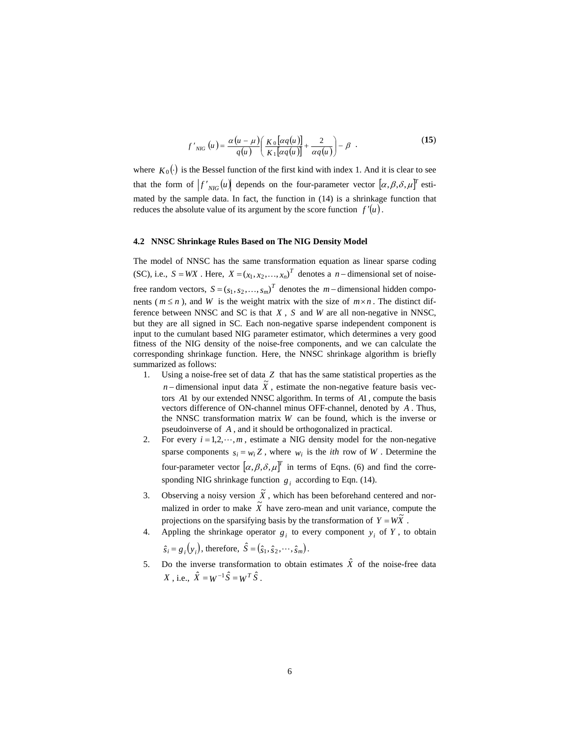$$
f'_{NIG}(u) = \frac{\alpha (u - \mu)}{q(u)} \left( \frac{K_0 \left[ \alpha q(u) \right]}{K_1 \left[ \alpha q(u) \right]} + \frac{2}{\alpha q(u)} \right) - \beta \quad . \tag{15}
$$

where  $K_0(\cdot)$  is the Bessel function of the first kind with index 1. And it is clear to see that the form of  $\left|f'\right|_{NIG}(u)$  depends on the four-parameter vector  $\left[ \alpha,\beta,\delta,\mu\right]^{T}$  estimated by the sample data. In fact, the function in (14) is a shrinkage function that reduces the absolute value of its argument by the score function  $f'(u)$ .

### **4.2 NNSC Shrinkage Rules Based on The NIG Density Model**

The model of NNSC has the same transformation equation as linear sparse coding (SC), i.e.,  $S = WX$ . Here,  $X = (x_1, x_2, ..., x_n)^T$  denotes a *n* − dimensional set of noisefree random vectors,  $S = (s_1, s_2, ..., s_m)^T$  denotes the *m* − dimensional hidden components ( $m \le n$ ), and *W* is the weight matrix with the size of  $m \times n$ . The distinct difference between NNSC and SC is that *X* , *S* and *W* are all non-negative in NNSC, but they are all signed in SC. Each non-negative sparse independent component is input to the cumulant based NIG parameter estimator, which determines a very good fitness of the NIG density of the noise-free components, and we can calculate the corresponding shrinkage function. Here, the NNSC shrinkage algorithm is briefly summarized as follows:

- 1. Using a noise-free set of data *Z* that has the same statistical properties as the *n* − dimensional input data  $\tilde{X}$ , estimate the non-negative feature basis vectors *A*1 by our extended NNSC algorithm. In terms of *A*1 , compute the basis vectors difference of ON-channel minus OFF-channel, denoted by *A* . Thus, the NNSC transformation matrix *W* can be found, which is the inverse or pseudoinverse of *A* , and it should be orthogonalized in practical.
- 2. For every  $i = 1, 2, \dots, m$ , estimate a NIG density model for the non-negative sparse components  $s_i = w_i Z$ , where  $w_i$  is the *ith* row of *W*. Determine the four-parameter vector  $[\alpha, \beta, \delta, \mu]^T$  in terms of Eqns. (6) and find the corresponding NIG shrinkage function  $g_i$  according to Eqn. (14).
- 3. Observing a noisy version  $\tilde{X}$ , which has been beforehand centered and normalized in order to make  $\tilde{X}$  have zero-mean and unit variance, compute the projections on the sparsifying basis by the transformation of  $Y = W\tilde{X}$ .
- 4. Appling the shrinkage operator  $g_i$  to every component  $y_i$  of  $Y$ , to obtain  $\hat{s}_i = g_i(y_i)$ , therefore,  $\hat{S} = (\hat{s}_1, \hat{s}_2, \dots, \hat{s}_m)$ .
- 5. Do the inverse transformation to obtain estimates  $\hat{X}$  of the noise-free data  $X \text{ . i.e., } \hat{X} = W^{-1} \hat{S} = W^T \hat{S}$ .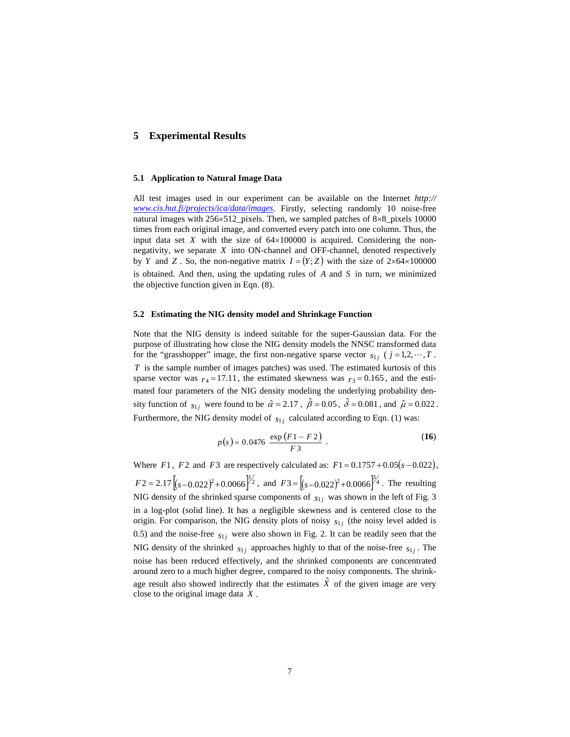### **5 Experimental Results**

#### **5.1 Application to Natural Image Data**

All test images used in our experiment can be available on the Internet *http:// www.cis.hut.fi/projects/ica/data/images*. Firstly, selecting randomly 10 noise-free natural images with 256×512\_pixels. Then, we sampled patches of 8×8\_pixels 10000 times from each original image, and converted every patch into one column. Thus, the input data set  $X$  with the size of  $64\times100000$  is acquired. Considering the nonnegativity, we separate *X* into ON-channel and OFF-channel, denoted respectively by *Y* and *Z*. So, the non-negative matrix  $I = (Y; Z)$  with the size of 2×64×100000 is obtained. And then, using the updating rules of *A* and *S* in turn, we minimized the objective function given in Eqn. (8).

#### **5.2 Estimating the NIG density model and Shrinkage Function**

Note that the NIG density is indeed suitable for the super-Gaussian data. For the purpose of illustrating how close the NIG density models the NNSC transformed data for the "grasshopper" image, the first non-negative sparse vector  $s_{1j}$  ( $j = 1,2,\dots,T$ . *T* is the sample number of images patches) was used. The estimated kurtosis of this sparse vector was  $r_4 = 17.11$ , the estimated skewness was  $r_3 = 0.165$ , and the estimated four parameters of the NIG density modeling the underlying probability density function of  $s_{1j}$  were found to be  $\hat{\alpha} = 2.17$ ,  $\hat{\beta} = 0.05$ ,  $\hat{\delta} = 0.081$ , and  $\hat{\mu} = 0.022$ . Furthermore, the NIG density model of  $s_{1j}$  calculated according to Eqn. (1) was:

$$
p(s) = 0.0476 \frac{\exp (F1 - F2)}{F3} \tag{16}
$$

Where *F*1, *F*2 and *F*3 are respectively calculated as:  $F1 = 0.1757 + 0.05(s - 0.022)$ ,  $F2 = 2.17 \left[ (s - 0.022)^2 + 0.0066 \right]^{\frac{1}{2}}$ , and  $F3 = \left[ (s - 0.022)^2 + 0.0066 \right]^{\frac{5}{2}}$ . The resulting NIG density of the shrinked sparse components of  $s_{1j}$  was shown in the left of Fig. 3 in a log-plot (solid line). It has a negligible skewness and is centered close to the origin. For comparison, the NIG density plots of noisy  $s_{1j}$  (the noisy level added is 0.5) and the noise-free  $s_{1i}$  were also shown in Fig. 2. It can be readily seen that the NIG density of the shrinked  $s_{1j}$  approaches highly to that of the noise-free  $s_{1j}$ . The noise has been reduced effectively, and the shrinked components are concentrated around zero to a much higher degree, compared to the noisy components. The shrinkage result also showed indirectly that the estimates  $\hat{X}$  of the given image are very close to the original image data *X* .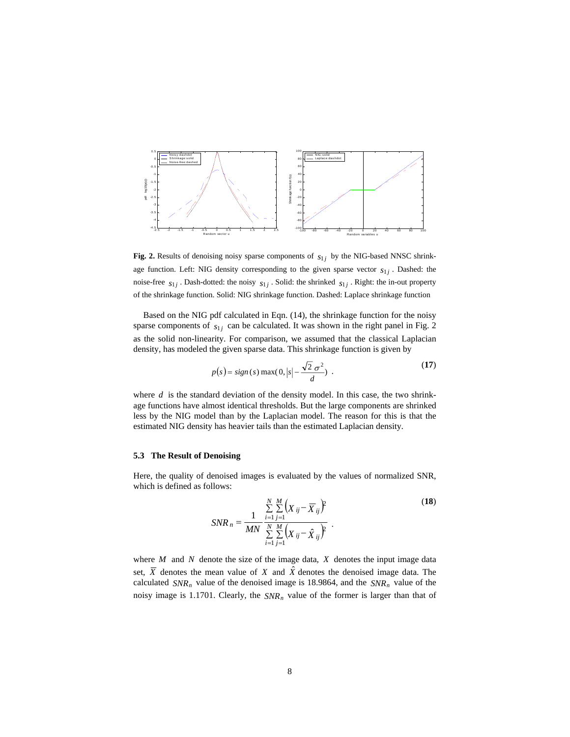

Fig. 2. Results of denoising noisy sparse components of  $s_{1j}$  by the NIG-based NNSC shrinkage function. Left: NIG density corresponding to the given sparse vector  $s_{1j}$ . Dashed: the noise-free  $s_{1j}$ . Dash-dotted: the noisy  $s_{1j}$ . Solid: the shrinked  $s_{1j}$ . Right: the in-out property of the shrinkage function. Solid: NIG shrinkage function. Dashed: Laplace shrinkage function

Based on the NIG pdf calculated in Eqn. (14), the shrinkage function for the noisy sparse components of  $s_{1j}$  can be calculated. It was shown in the right panel in Fig. 2 as the solid non-linearity. For comparison, we assumed that the classical Laplacian density, has modeled the given sparse data. This shrinkage function is given by

$$
p(s) = sign(s) \max(0, |s| - \frac{\sqrt{2} \sigma^2}{d}).
$$
 (17)

where  $d$  is the standard deviation of the density model. In this case, the two shrinkage functions have almost identical thresholds. But the large components are shrinked less by the NIG model than by the Laplacian model. The reason for this is that the estimated NIG density has heavier tails than the estimated Laplacian density.

#### **5.3 The Result of Denoising**

Here, the quality of denoised images is evaluated by the values of normalized SNR, which is defined as follows:

$$
SNR_n = \frac{1}{MN} \frac{\sum_{i=1}^{N} \sum_{j=1}^{M} (X_{ij} - \overline{X}_{ij})^2}{\sum_{i=1}^{N} \sum_{j=1}^{M} (X_{ij} - \hat{X}_{ij})^2}.
$$
 (18)

where *M* and *N* denote the size of the image data, *X* denotes the input image data set,  $\overline{X}$  denotes the mean value of *X* and  $\hat{X}$  denotes the denoised image data. The calculated  $SNR_n$  value of the denoised image is 18.9864, and the  $SNR_n$  value of the noisy image is 1.1701. Clearly, the  $SNR_n$  value of the former is larger than that of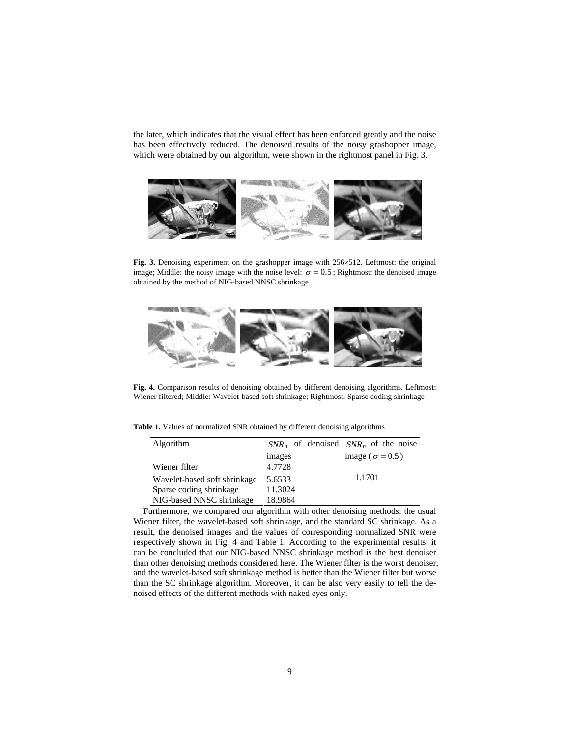the later, which indicates that the visual effect has been enforced greatly and the noise has been effectively reduced. The denoised results of the noisy grashopper image, which were obtained by our algorithm, were shown in the rightmost panel in Fig. 3.



**Fig. 3.** Denoising experiment on the grashopper image with 256×512. Leftmost: the original image; Middle: the noisy image with the noise level:  $\sigma = 0.5$ ; Rightmost: the denoised image obtained by the method of NIG-based NNSC shrinkage



**Fig. 4.** Comparison results of denoising obtained by different denoising algorithms. Leftmost: Wiener filtered; Middle: Wavelet-based soft shrinkage; Rightmost: Sparse coding shrinkage

**Table 1.** Values of normalized SNR obtained by different denoising algorithms

| Algorithm                    |         | $SNR_n$ of denoised $SNR_n$ of the noise |
|------------------------------|---------|------------------------------------------|
|                              | images  | image ( $\sigma$ = 0.5)                  |
| Wiener filter                | 4.7728  |                                          |
| Wavelet-based soft shrinkage | 5.6533  | 1.1701                                   |
| Sparse coding shrinkage      | 11.3024 |                                          |
| NIG-based NNSC shrinkage     | 18.9864 |                                          |

Furthermore, we compared our algorithm with other denoising methods: the usual Wiener filter, the wavelet-based soft shrinkage, and the standard SC shrinkage. As a result, the denoised images and the values of corresponding normalized SNR were respectively shown in Fig. 4 and Table 1. According to the experimental results, it can be concluded that our NIG-based NNSC shrinkage method is the best denoiser than other denoising methods considered here. The Wiener filter is the worst denoiser, and the wavelet-based soft shrinkage method is better than the Wiener filter but worse than the SC shrinkage algorithm. Moreover, it can be also very easily to tell the denoised effects of the different methods with naked eyes only.